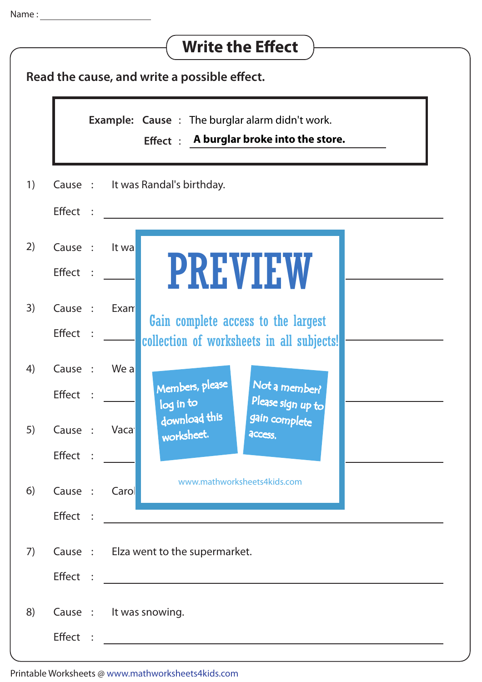| <b>Write the Effect</b>                      |                           |                                                                                                                                                                                                                                                                                                                                                                                                                                      |
|----------------------------------------------|---------------------------|--------------------------------------------------------------------------------------------------------------------------------------------------------------------------------------------------------------------------------------------------------------------------------------------------------------------------------------------------------------------------------------------------------------------------------------|
| Read the cause, and write a possible effect. |                           |                                                                                                                                                                                                                                                                                                                                                                                                                                      |
|                                              |                           | <b>Example: Cause : The burglar alarm didn't work.</b><br>Effect $\div$ A burglar broke into the store.                                                                                                                                                                                                                                                                                                                              |
| 1)                                           | Effect :                  | Cause: It was Randal's birthday.                                                                                                                                                                                                                                                                                                                                                                                                     |
| 2)                                           | Cause :<br>Effect :       | It wa<br><b>PREVIEW</b>                                                                                                                                                                                                                                                                                                                                                                                                              |
| 3)                                           | Cause :<br><b>Effect</b>  | Exam<br>Gain complete access to the largest<br>collection of worksheets in all subjects!                                                                                                                                                                                                                                                                                                                                             |
| 4)                                           | Cause :<br>Effect         | We a<br>Not a member?<br>Members, please<br>Please sign up to<br>log in to                                                                                                                                                                                                                                                                                                                                                           |
| 5)                                           | Cause : Vacal<br>Effect : | download this<br>gain complete<br>worksheet.<br>access.                                                                                                                                                                                                                                                                                                                                                                              |
| 6)                                           | Cause :                   | www.mathworksheets4kids.com<br>Carol<br>$\text{Effect} \hspace{.2cm} \text{} \hspace{.2cm} \text{} \hspace{.2cm} \text{} \hspace{.2cm} \text{} \hspace{.2cm} \text{} \hspace{.2cm} \text{} \hspace{.2cm} \text{} \hspace{.2cm} \text{} \hspace{.2cm} \text{} \hspace{.2cm} \text{} \hspace{.2cm} \text{} \hspace{.2cm} \text{} \hspace{.2cm} \text{} \hspace{.2cm} \text{} \hspace{.2cm} \text{} \hspace{.2cm} \text{} \hspace{.2cm$ |
| 7)                                           |                           | Cause : Elza went to the supermarket.                                                                                                                                                                                                                                                                                                                                                                                                |
| 8)                                           |                           | Cause : It was snowing.                                                                                                                                                                                                                                                                                                                                                                                                              |